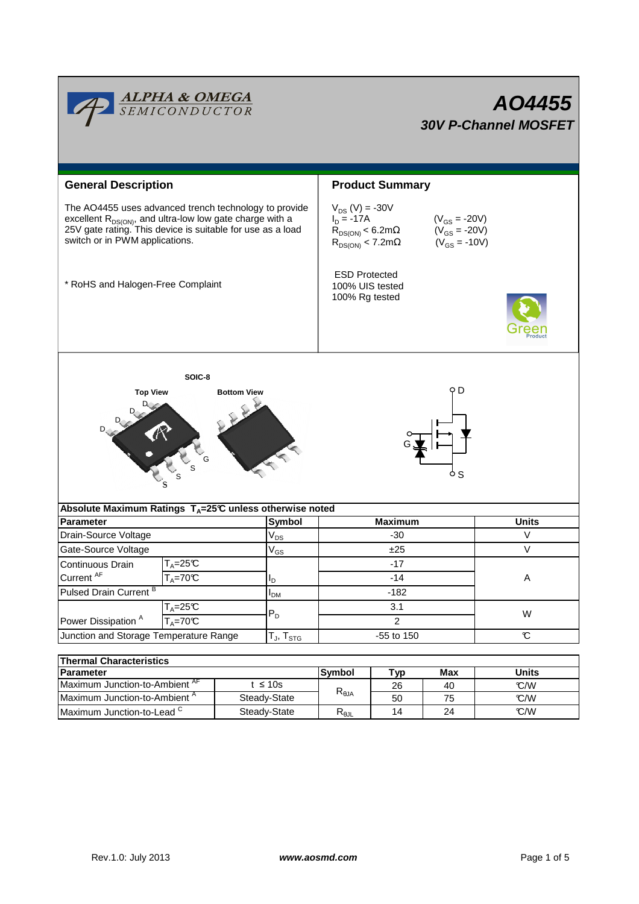

| Thermal Unaracteristics                   |              |                              |    |    |       |  |  |  |  |
|-------------------------------------------|--------------|------------------------------|----|----|-------|--|--|--|--|
| <b>IParameter</b>                         |              | Max<br><b>Symbol</b><br>Tvn. |    |    | Units |  |  |  |  |
| Maximum Junction-to-Ambient <sup>AF</sup> | t ≤ 10s      | $R_{\theta$ JA               | 26 | 40 | C/W   |  |  |  |  |
| Maximum Junction-to-Ambient "             | Steady-State |                              | 50 | 75 | C/W   |  |  |  |  |
| Maximum Junction-to-Lead ~                | Steady-State | D<br>ా⊕⅃Լ                    | 14 | 24 | C/W   |  |  |  |  |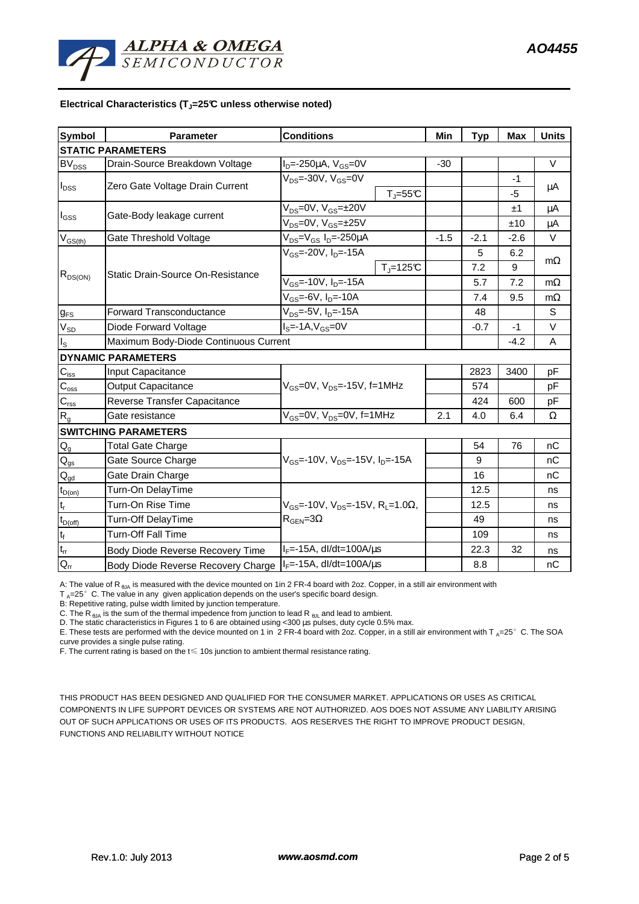### **Electrical Characteristics (TJ=25°C unless otherwise noted)**

| <b>Symbol</b>              | <b>Parameter</b>                      | <b>Conditions</b>                                                                            |                       | Min    | <b>Typ</b> | <b>Max</b> | <b>Units</b> |
|----------------------------|---------------------------------------|----------------------------------------------------------------------------------------------|-----------------------|--------|------------|------------|--------------|
|                            | <b>STATIC PARAMETERS</b>              |                                                                                              |                       |        |            |            |              |
| BV <sub>DSS</sub>          | Drain-Source Breakdown Voltage        | $I_D = -250 \mu A$ , $V_{GS} = 0V$                                                           |                       | $-30$  |            |            | $\vee$       |
| $I_{DSS}$                  | Zero Gate Voltage Drain Current       | $V_{DS}$ =-30V, V $_{GS}$ =0V                                                                |                       |        |            | $-1$       |              |
|                            |                                       |                                                                                              | $T_{J} = 55^{\circ}C$ |        |            | $-5$       | μA           |
| $I_{\rm GSS}$              | Gate-Body leakage current             | $V_{DS} = 0V$ , $V_{GS} = \pm 20V$                                                           |                       |        |            | ±1         | μA           |
|                            |                                       | $V_{DS} = 0V$ , $V_{GS} = \pm 25V$                                                           |                       |        | ±10        | μA         |              |
| $\rm V_{\rm GS(th)}$       | Gate Threshold Voltage                | $V_{DS} = V_{GS} I_D = -250 \mu A$                                                           |                       | $-1.5$ | $-2.1$     | $-2.6$     | $\vee$       |
| $R_{DS(ON)}$               | Static Drain-Source On-Resistance     | $V_{GS}$ =-20V, $I_{D}$ =-15A                                                                |                       |        | 5          | 6.2        |              |
|                            |                                       |                                                                                              | $T_{\text{J}}$ =125°C |        | 7.2        | 9          | $m\Omega$    |
|                            |                                       | $V_{GS}$ =-10V, $I_{D}$ =-15A                                                                |                       |        | 5.7        | 7.2        | $m\Omega$    |
|                            |                                       | $V_{GS}$ =-6V, $I_{D}$ =-10A                                                                 |                       | 7.4    | 9.5        | $m\Omega$  |              |
| $g_{FS}$                   | <b>Forward Transconductance</b>       | $V_{DS} = -5V$ , $I_{D} = -15A$                                                              |                       |        | 48         |            | S            |
| $V_{SD}$                   | Diode Forward Voltage                 | $IS=-1A, VGS=0V$                                                                             |                       |        | $-0.7$     | $-1$       | V            |
| $I_{\rm S}$                | Maximum Body-Diode Continuous Current |                                                                                              |                       |        |            | $-4.2$     | A            |
|                            | <b>DYNAMIC PARAMETERS</b>             |                                                                                              |                       |        |            |            |              |
| $C_{\text{iss}}$           | Input Capacitance                     | $V_{GS}$ =0V, $V_{DS}$ =-15V, f=1MHz                                                         |                       |        | 2823       | 3400       | pF           |
| $C_{\rm oss}$              | <b>Output Capacitance</b>             |                                                                                              |                       |        | 574        |            | pF           |
| $C_{\rm rss}$              | Reverse Transfer Capacitance          |                                                                                              |                       |        | 424        | 600        | pF           |
| R <sub>g</sub>             | Gate resistance                       | $V_{GS}$ =0V, $V_{DS}$ =0V, f=1MHz                                                           |                       | 2.1    | 4.0        | 6.4        | Ω            |
|                            | <b>SWITCHING PARAMETERS</b>           |                                                                                              |                       |        |            |            |              |
| $\mathsf{Q}_{\mathsf{g}}$  | <b>Total Gate Charge</b>              | $V_{GS}$ =-10V, $V_{DS}$ =-15V, $I_{D}$ =-15A                                                |                       |        | 54         | 76         | nC           |
| $\mathsf{Q}_{\mathsf{gs}}$ | Gate Source Charge                    |                                                                                              |                       |        | 9          |            | nC           |
| $\mathsf{Q}_{\mathsf{gd}}$ | Gate Drain Charge                     |                                                                                              |                       |        | 16         |            | nC           |
| $t_{D(on)}$                | Turn-On DelayTime                     | $V_{GS}$ =-10V, $V_{DS}$ =-15V, R <sub>1</sub> =1.0 $\Omega$ ,<br>$R_{\text{GEN}} = 3\Omega$ |                       |        | 12.5       |            | ns           |
| $\mathsf{t}_{\mathsf{r}}$  | Turn-On Rise Time                     |                                                                                              |                       |        | 12.5       |            | ns           |
| $t_{D(\text{off})}$        | <b>Turn-Off DelayTime</b>             |                                                                                              |                       |        | 49         |            | ns           |
| $\mathbf{t}_\text{f}$      | <b>Turn-Off Fall Time</b>             |                                                                                              |                       |        | 109        |            | ns           |
| $t_{rr}$                   | Body Diode Reverse Recovery Time      | $I_F$ =-15A, dl/dt=100A/ $\mu$ s                                                             |                       |        | 22.3       | 32         | ns           |
| $Q_{rr}$                   | Body Diode Reverse Recovery Charge    | $I_F$ =-15A, dl/dt=100A/ $\mu$ s                                                             |                       |        | 8.8        |            | nC           |

A: The value of R<sub>BJA</sub> is measured with the device mounted on 1in 2 FR-4 board with 2oz. Copper, in a still air environment with

 $T_A=25^\circ$  C. The value in any given application depends on the user's specific board design.

B: Repetitive rating, pulse width limited by junction temperature.

C. The R<sub> $\theta$ JA</sub> is the sum of the thermal impedence from junction to lead R  $_{\theta$ JL and lead to ambient.

D. The static characteristics in Figures 1 to 6 are obtained using <300 µs pulses, duty cycle 0.5% max.

E. These tests are performed with the device mounted on 1 in 2 FR-4 board with 2oz. Copper, in a still air environment with T  $_A=25^\circ$  C. The SOA curve provides a single pulse rating.

F. The current rating is based on the t≤ 10s junction to ambient thermal resistance rating.

THIS PRODUCT HAS BEEN DESIGNED AND QUALIFIED FOR THE CONSUMER MARKET. APPLICATIONS OR USES AS CRITICAL COMPONENTS IN LIFE SUPPORT DEVICES OR SYSTEMS ARE NOT AUTHORIZED. AOS DOES NOT ASSUME ANY LIABILITY ARISING OUT OF SUCH APPLICATIONS OR USES OF ITS PRODUCTS. AOS RESERVES THE RIGHT TO IMPROVE PRODUCT DESIGN, FUNCTIONS AND RELIABILITY WITHOUT NOTICE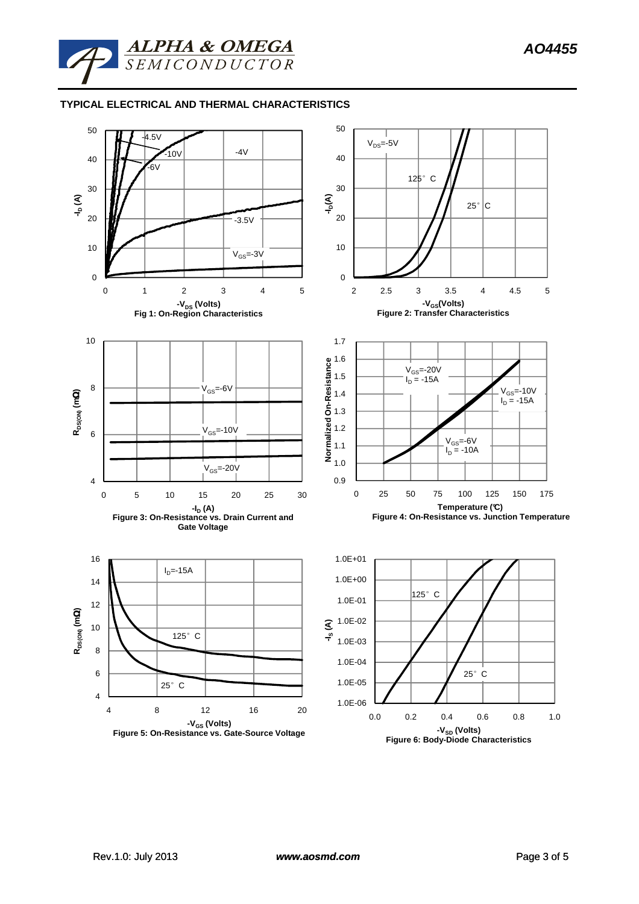

# **TYPICAL ELECTRICAL AND THERMAL CHARACTERISTICS**

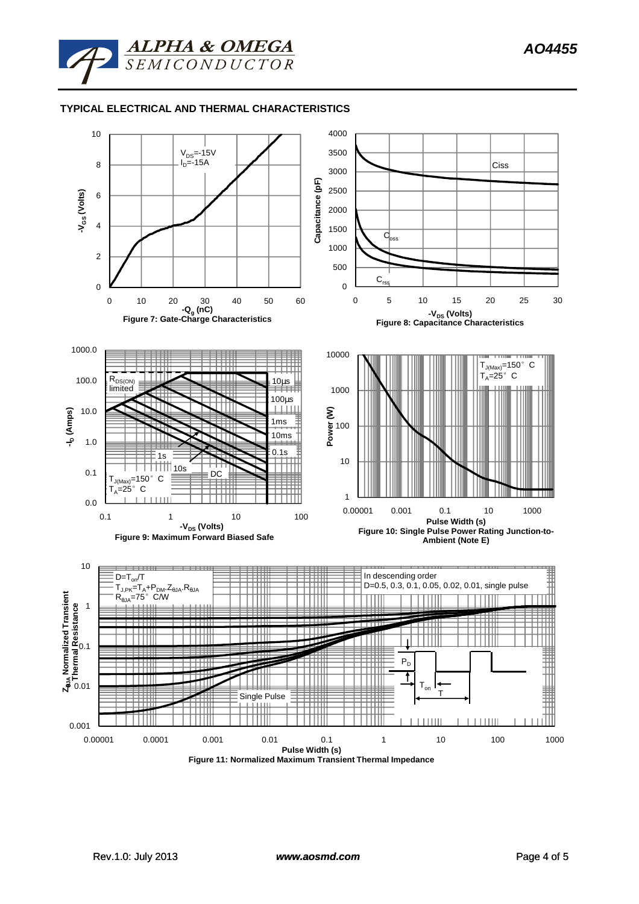![](_page_3_Picture_1.jpeg)

# **TYPICAL ELECTRICAL AND THERMAL CHARACTERISTICS**

![](_page_3_Figure_3.jpeg)